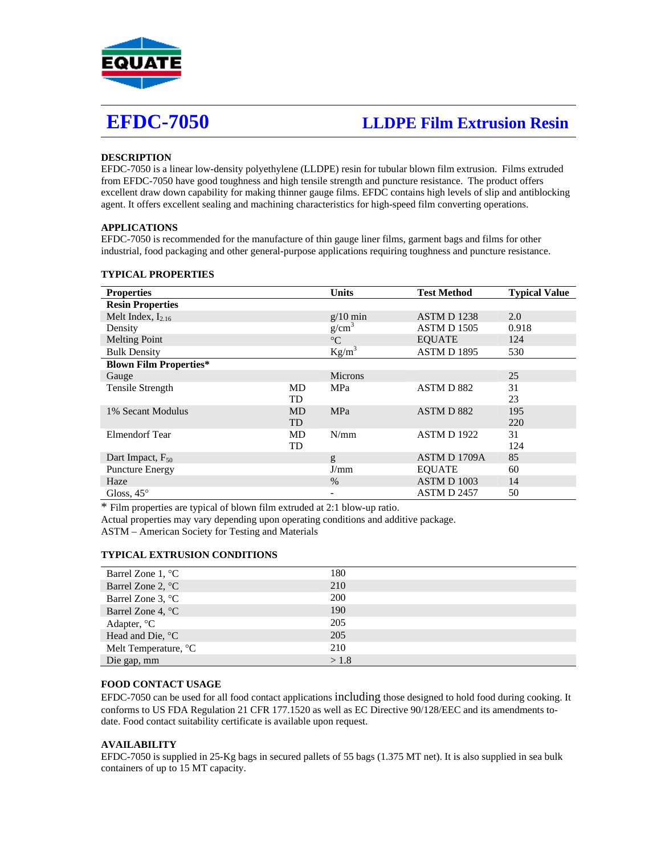

# **EFDC-7050 LLDPE Film Extrusion Resin**

# **DESCRIPTION**

EFDC-7050 is a linear low-density polyethylene (LLDPE) resin for tubular blown film extrusion. Films extruded from EFDC-7050 have good toughness and high tensile strength and puncture resistance. The product offers excellent draw down capability for making thinner gauge films. EFDC contains high levels of slip and antiblocking agent. It offers excellent sealing and machining characteristics for high-speed film converting operations.

# **APPLICATIONS**

EFDC-7050 is recommended for the manufacture of thin gauge liner films, garment bags and films for other industrial, food packaging and other general-purpose applications requiring toughness and puncture resistance.

# **TYPICAL PROPERTIES**

| <b>Properties</b>             |           | <b>Units</b>             | <b>Test Method</b> | <b>Typical Value</b> |
|-------------------------------|-----------|--------------------------|--------------------|----------------------|
| <b>Resin Properties</b>       |           |                          |                    |                      |
| Melt Index, $I_{2,16}$        |           | $g/10$ min               | <b>ASTM D 1238</b> | 2.0                  |
| Density                       |           | g/cm <sup>3</sup>        | <b>ASTM D 1505</b> | 0.918                |
| <b>Melting Point</b>          |           | $\rm ^{\circ}C$          | <b>EOUATE</b>      | 124                  |
| <b>Bulk Density</b>           |           | $Kg/m^3$                 | <b>ASTM D 1895</b> | 530                  |
| <b>Blown Film Properties*</b> |           |                          |                    |                      |
| Gauge                         |           | <b>Microns</b>           |                    | 25                   |
| <b>Tensile Strength</b>       | MD        | MPa                      | ASTM D 882         | 31                   |
|                               | TD        |                          |                    | 23                   |
| 1% Secant Modulus             | <b>MD</b> | <b>MPa</b>               | ASTM D 882         | 195                  |
|                               | <b>TD</b> |                          |                    | 220                  |
| Elmendorf Tear                | MD        | N/mm                     | <b>ASTM D 1922</b> | 31                   |
|                               | TD        |                          |                    | 124                  |
| Dart Impact, $F_{50}$         |           | g                        | ASTM D 1709A       | 85                   |
| <b>Puncture Energy</b>        |           | J/mm                     | <b>EOUATE</b>      | 60                   |
| Haze                          |           | $\%$                     | ASTM D 1003        | 14                   |
| Gloss, $45^\circ$             |           | $\overline{\phantom{a}}$ | ASTM D 2457        | 50                   |

\* Film properties are typical of blown film extruded at 2:1 blow-up ratio.

Actual properties may vary depending upon operating conditions and additive package.

ASTM – American Society for Testing and Materials

#### **TYPICAL EXTRUSION CONDITIONS**

| Barrel Zone 1, $^{\circ}$ C | 180        |
|-----------------------------|------------|
| Barrel Zone 2, °C           | 210        |
| Barrel Zone 3, °C           | <b>200</b> |
| Barrel Zone 4, $^{\circ}$ C | 190        |
| Adapter, $^{\circ}C$        | 205        |
| Head and Die, $^{\circ}C$   | 205        |
| Melt Temperature, °C        | 210        |
| Die gap, mm                 | >1.8       |

# **FOOD CONTACT USAGE**

EFDC-7050 can be used for all food contact applications including those designed to hold food during cooking. It conforms to US FDA Regulation 21 CFR 177.1520 as well as EC Directive 90/128/EEC and its amendments todate. Food contact suitability certificate is available upon request.

#### **AVAILABILITY**

EFDC-7050 is supplied in 25-Kg bags in secured pallets of 55 bags (1.375 MT net). It is also supplied in sea bulk containers of up to 15 MT capacity.